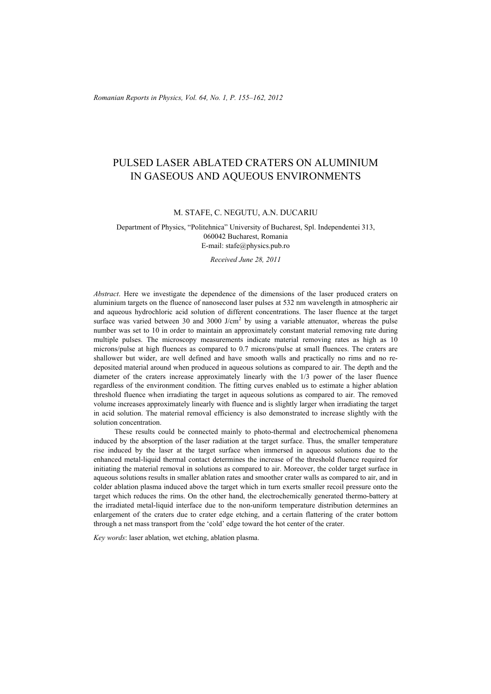# PULSED LASER ABLATED CRATERS ON ALUMINIUM IN GASEOUS AND AQUEOUS ENVIRONMENTS

#### M. STAFE, C. NEGUTU, A.N. DUCARIU

### Department of Physics, "Politehnica" University of Bucharest, Spl. Independentei 313, 060042 Bucharest, Romania E-mail: stafe@physics.pub.ro

#### *Received June 28, 2011*

*Abstract*. Here we investigate the dependence of the dimensions of the laser produced craters on aluminium targets on the fluence of nanosecond laser pulses at 532 nm wavelength in atmospheric air and aqueous hydrochloric acid solution of different concentrations. The laser fluence at the target surface was varied between 30 and 3000 J/cm<sup>2</sup> by using a variable attenuator, whereas the pulse number was set to 10 in order to maintain an approximately constant material removing rate during multiple pulses. The microscopy measurements indicate material removing rates as high as 10 microns/pulse at high fluences as compared to 0.7 microns/pulse at small fluences. The craters are shallower but wider, are well defined and have smooth walls and practically no rims and no redeposited material around when produced in aqueous solutions as compared to air. The depth and the diameter of the craters increase approximately linearly with the 1/3 power of the laser fluence regardless of the environment condition. The fitting curves enabled us to estimate a higher ablation threshold fluence when irradiating the target in aqueous solutions as compared to air. The removed volume increases approximately linearly with fluence and is slightly larger when irradiating the target in acid solution. The material removal efficiency is also demonstrated to increase slightly with the solution concentration.

These results could be connected mainly to photo-thermal and electrochemical phenomena induced by the absorption of the laser radiation at the target surface. Thus, the smaller temperature rise induced by the laser at the target surface when immersed in aqueous solutions due to the enhanced metal-liquid thermal contact determines the increase of the threshold fluence required for initiating the material removal in solutions as compared to air. Moreover, the colder target surface in aqueous solutions results in smaller ablation rates and smoother crater walls as compared to air, and in colder ablation plasma induced above the target which in turn exerts smaller recoil pressure onto the target which reduces the rims. On the other hand, the electrochemically generated thermo-battery at the irradiated metal-liquid interface due to the non-uniform temperature distribution determines an enlargement of the craters due to crater edge etching, and a certain flattering of the crater bottom through a net mass transport from the 'cold' edge toward the hot center of the crater.

*Key words*: laser ablation, wet etching, ablation plasma.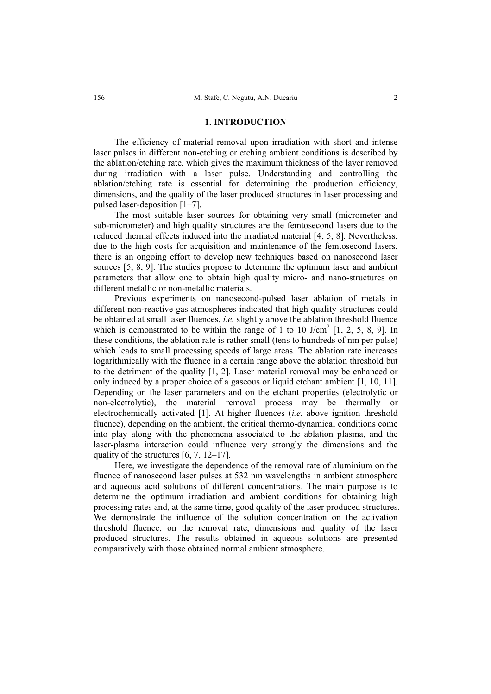#### **1. INTRODUCTION**

The efficiency of material removal upon irradiation with short and intense laser pulses in different non-etching or etching ambient conditions is described by the ablation/etching rate, which gives the maximum thickness of the layer removed during irradiation with a laser pulse. Understanding and controlling the ablation/etching rate is essential for determining the production efficiency, dimensions, and the quality of the laser produced structures in laser processing and pulsed laser-deposition [1–7].

The most suitable laser sources for obtaining very small (micrometer and sub-micrometer) and high quality structures are the femtosecond lasers due to the reduced thermal effects induced into the irradiated material [4, 5, 8]. Nevertheless, due to the high costs for acquisition and maintenance of the femtosecond lasers, there is an ongoing effort to develop new techniques based on nanosecond laser sources [5, 8, 9]. The studies propose to determine the optimum laser and ambient parameters that allow one to obtain high quality micro- and nano-structures on different metallic or non-metallic materials.

Previous experiments on nanosecond-pulsed laser ablation of metals in different non-reactive gas atmospheres indicated that high quality structures could be obtained at small laser fluences, *i.e.* slightly above the ablation threshold fluence which is demonstrated to be within the range of 1 to 10 J/cm<sup>2</sup> [1, 2, 5, 8, 9]. In these conditions, the ablation rate is rather small (tens to hundreds of nm per pulse) which leads to small processing speeds of large areas. The ablation rate increases logarithmically with the fluence in a certain range above the ablation threshold but to the detriment of the quality [1, 2]. Laser material removal may be enhanced or only induced by a proper choice of a gaseous or liquid etchant ambient [1, 10, 11]. Depending on the laser parameters and on the etchant properties (electrolytic or non-electrolytic), the material removal process may be thermally or electrochemically activated [1]. At higher fluences (*i.e.* above ignition threshold fluence), depending on the ambient, the critical thermo-dynamical conditions come into play along with the phenomena associated to the ablation plasma, and the laser-plasma interaction could influence very strongly the dimensions and the quality of the structures [6, 7, 12–17].

Here, we investigate the dependence of the removal rate of aluminium on the fluence of nanosecond laser pulses at 532 nm wavelengths in ambient atmosphere and aqueous acid solutions of different concentrations. The main purpose is to determine the optimum irradiation and ambient conditions for obtaining high processing rates and, at the same time, good quality of the laser produced structures. We demonstrate the influence of the solution concentration on the activation threshold fluence, on the removal rate, dimensions and quality of the laser produced structures. The results obtained in aqueous solutions are presented comparatively with those obtained normal ambient atmosphere.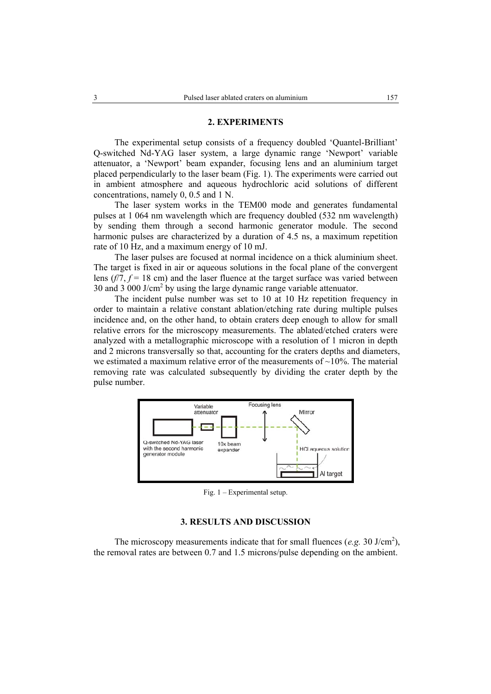## **2. EXPERIMENTS**

The experimental setup consists of a frequency doubled 'Quantel-Brilliant' Q-switched Nd-YAG laser system, a large dynamic range 'Newport' variable attenuator, a 'Newport' beam expander, focusing lens and an aluminium target placed perpendicularly to the laser beam (Fig. 1). The experiments were carried out in ambient atmosphere and aqueous hydrochloric acid solutions of different concentrations, namely 0, 0.5 and 1 N.

The laser system works in the TEM00 mode and generates fundamental pulses at 1 064 nm wavelength which are frequency doubled (532 nm wavelength) by sending them through a second harmonic generator module. The second harmonic pulses are characterized by a duration of 4.5 ns, a maximum repetition rate of 10 Hz, and a maximum energy of 10 mJ.

The laser pulses are focused at normal incidence on a thick aluminium sheet. The target is fixed in air or aqueous solutions in the focal plane of the convergent lens  $(f/7, f = 18$  cm) and the laser fluence at the target surface was varied between 30 and  $3\,000$  J/cm<sup>2</sup> by using the large dynamic range variable attenuator.

The incident pulse number was set to 10 at 10 Hz repetition frequency in order to maintain a relative constant ablation/etching rate during multiple pulses incidence and, on the other hand, to obtain craters deep enough to allow for small relative errors for the microscopy measurements. The ablated/etched craters were analyzed with a metallographic microscope with a resolution of 1 micron in depth and 2 microns transversally so that, accounting for the craters depths and diameters, we estimated a maximum relative error of the measurements of  $\sim$ 10%. The material removing rate was calculated subsequently by dividing the crater depth by the pulse number.



Fig. 1 – Experimental setup.

# **3. RESULTS AND DISCUSSION**

The microscopy measurements indicate that for small fluences (*e.g.* 30 J/cm<sup>2</sup>), the removal rates are between 0.7 and 1.5 microns/pulse depending on the ambient.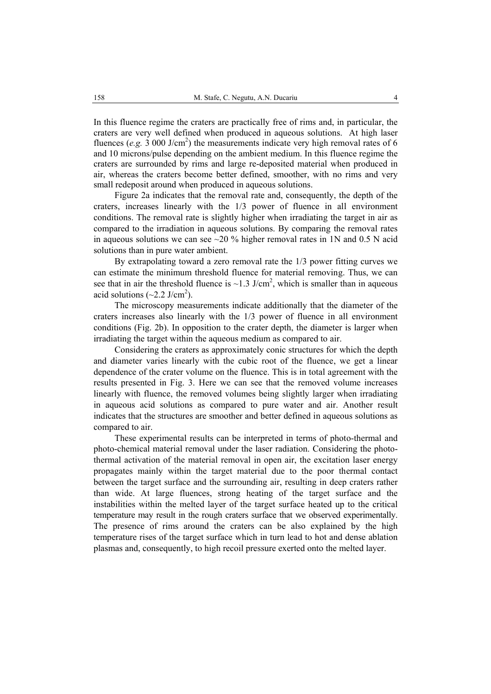In this fluence regime the craters are practically free of rims and, in particular, the craters are very well defined when produced in aqueous solutions. At high laser fluences (*e.g.*  $3\,000 \text{ J/cm}^2$ ) the measurements indicate very high removal rates of 6 and 10 microns/pulse depending on the ambient medium. In this fluence regime the craters are surrounded by rims and large re-deposited material when produced in air, whereas the craters become better defined, smoother, with no rims and very small redeposit around when produced in aqueous solutions.

Figure 2a indicates that the removal rate and, consequently, the depth of the craters, increases linearly with the 1/3 power of fluence in all environment conditions. The removal rate is slightly higher when irradiating the target in air as compared to the irradiation in aqueous solutions. By comparing the removal rates in aqueous solutions we can see  $\sim$ 20 % higher removal rates in 1N and 0.5 N acid solutions than in pure water ambient.

 By extrapolating toward a zero removal rate the 1/3 power fitting curves we can estimate the minimum threshold fluence for material removing. Thus, we can see that in air the threshold fluence is  $\sim$ 1.3 J/cm<sup>2</sup>, which is smaller than in aqueous acid solutions  $(\sim 2.2 \text{ J/cm}^2)$ .

 The microscopy measurements indicate additionally that the diameter of the craters increases also linearly with the 1/3 power of fluence in all environment conditions (Fig. 2b). In opposition to the crater depth, the diameter is larger when irradiating the target within the aqueous medium as compared to air.

 Considering the craters as approximately conic structures for which the depth and diameter varies linearly with the cubic root of the fluence, we get a linear dependence of the crater volume on the fluence. This is in total agreement with the results presented in Fig. 3. Here we can see that the removed volume increases linearly with fluence, the removed volumes being slightly larger when irradiating in aqueous acid solutions as compared to pure water and air. Another result indicates that the structures are smoother and better defined in aqueous solutions as compared to air.

 These experimental results can be interpreted in terms of photo-thermal and photo-chemical material removal under the laser radiation. Considering the photothermal activation of the material removal in open air, the excitation laser energy propagates mainly within the target material due to the poor thermal contact between the target surface and the surrounding air, resulting in deep craters rather than wide. At large fluences, strong heating of the target surface and the instabilities within the melted layer of the target surface heated up to the critical temperature may result in the rough craters surface that we observed experimentally. The presence of rims around the craters can be also explained by the high temperature rises of the target surface which in turn lead to hot and dense ablation plasmas and, consequently, to high recoil pressure exerted onto the melted layer.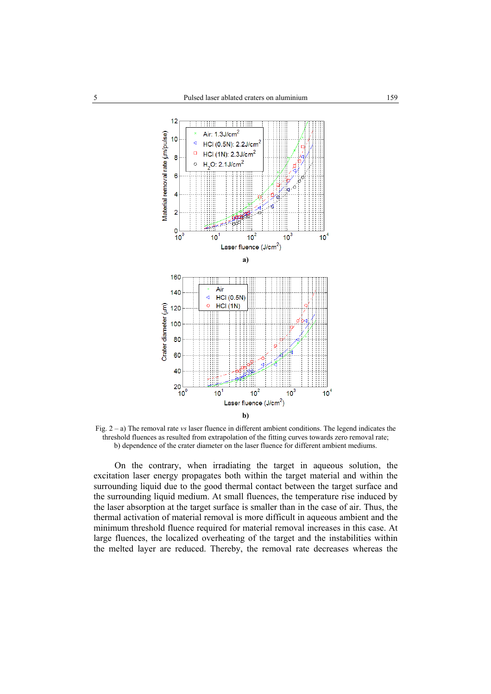

Fig. 2 – a) The removal rate *vs* laser fluence in different ambient conditions. The legend indicates the threshold fluences as resulted from extrapolation of the fitting curves towards zero removal rate; b) dependence of the crater diameter on the laser fluence for different ambient mediums.

On the contrary, when irradiating the target in aqueous solution, the excitation laser energy propagates both within the target material and within the surrounding liquid due to the good thermal contact between the target surface and the surrounding liquid medium. At small fluences, the temperature rise induced by the laser absorption at the target surface is smaller than in the case of air. Thus, the thermal activation of material removal is more difficult in aqueous ambient and the minimum threshold fluence required for material removal increases in this case. At large fluences, the localized overheating of the target and the instabilities within the melted layer are reduced. Thereby, the removal rate decreases whereas the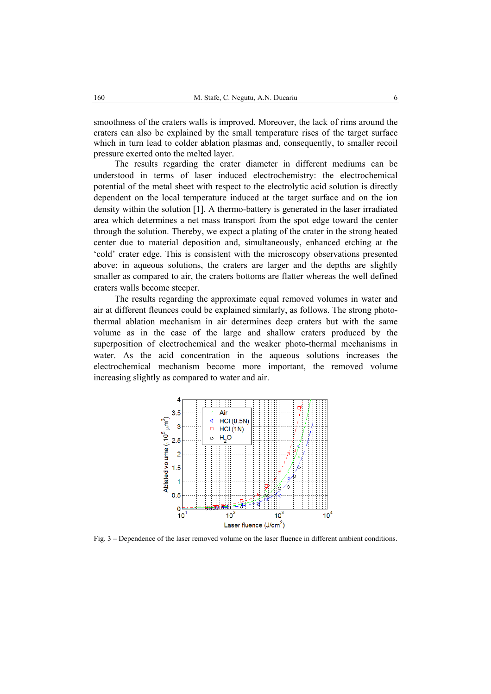smoothness of the craters walls is improved. Moreover, the lack of rims around the craters can also be explained by the small temperature rises of the target surface which in turn lead to colder ablation plasmas and, consequently, to smaller recoil pressure exerted onto the melted layer.

The results regarding the crater diameter in different mediums can be understood in terms of laser induced electrochemistry: the electrochemical potential of the metal sheet with respect to the electrolytic acid solution is directly dependent on the local temperature induced at the target surface and on the ion density within the solution [1]. A thermo-battery is generated in the laser irradiated area which determines a net mass transport from the spot edge toward the center through the solution. Thereby, we expect a plating of the crater in the strong heated center due to material deposition and, simultaneously, enhanced etching at the 'cold' crater edge. This is consistent with the microscopy observations presented above: in aqueous solutions, the craters are larger and the depths are slightly smaller as compared to air, the craters bottoms are flatter whereas the well defined craters walls become steeper.

The results regarding the approximate equal removed volumes in water and air at different fleunces could be explained similarly, as follows. The strong photothermal ablation mechanism in air determines deep craters but with the same volume as in the case of the large and shallow craters produced by the superposition of electrochemical and the weaker photo-thermal mechanisms in water. As the acid concentration in the aqueous solutions increases the electrochemical mechanism become more important, the removed volume increasing slightly as compared to water and air.



Fig. 3 – Dependence of the laser removed volume on the laser fluence in different ambient conditions.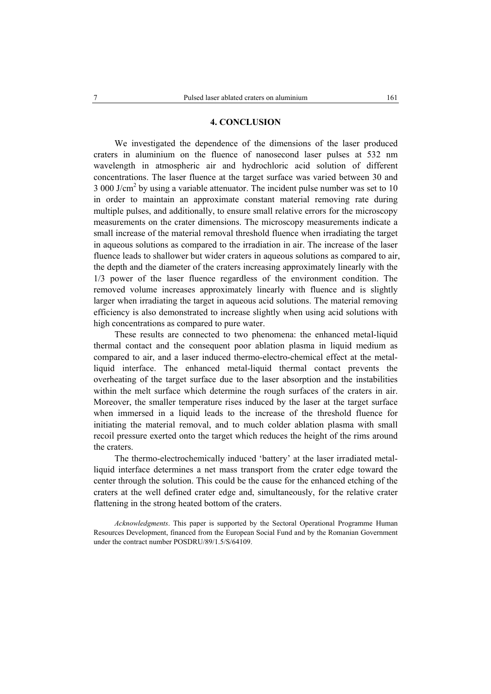### **4. CONCLUSION**

We investigated the dependence of the dimensions of the laser produced craters in aluminium on the fluence of nanosecond laser pulses at 532 nm wavelength in atmospheric air and hydrochloric acid solution of different concentrations. The laser fluence at the target surface was varied between 30 and 3 000 J/cm<sup>2</sup> by using a variable attenuator. The incident pulse number was set to 10 in order to maintain an approximate constant material removing rate during multiple pulses, and additionally, to ensure small relative errors for the microscopy measurements on the crater dimensions. The microscopy measurements indicate a small increase of the material removal threshold fluence when irradiating the target in aqueous solutions as compared to the irradiation in air. The increase of the laser fluence leads to shallower but wider craters in aqueous solutions as compared to air, the depth and the diameter of the craters increasing approximately linearly with the 1/3 power of the laser fluence regardless of the environment condition. The removed volume increases approximately linearly with fluence and is slightly larger when irradiating the target in aqueous acid solutions. The material removing efficiency is also demonstrated to increase slightly when using acid solutions with high concentrations as compared to pure water.

These results are connected to two phenomena: the enhanced metal-liquid thermal contact and the consequent poor ablation plasma in liquid medium as compared to air, and a laser induced thermo-electro-chemical effect at the metalliquid interface. The enhanced metal-liquid thermal contact prevents the overheating of the target surface due to the laser absorption and the instabilities within the melt surface which determine the rough surfaces of the craters in air. Moreover, the smaller temperature rises induced by the laser at the target surface when immersed in a liquid leads to the increase of the threshold fluence for initiating the material removal, and to much colder ablation plasma with small recoil pressure exerted onto the target which reduces the height of the rims around the craters.

The thermo-electrochemically induced 'battery' at the laser irradiated metalliquid interface determines a net mass transport from the crater edge toward the center through the solution. This could be the cause for the enhanced etching of the craters at the well defined crater edge and, simultaneously, for the relative crater flattening in the strong heated bottom of the craters.

*Acknowledgments*. This paper is supported by the Sectoral Operational Programme Human Resources Development, financed from the European Social Fund and by the Romanian Government under the contract number POSDRU/89/1.5/S/64109.